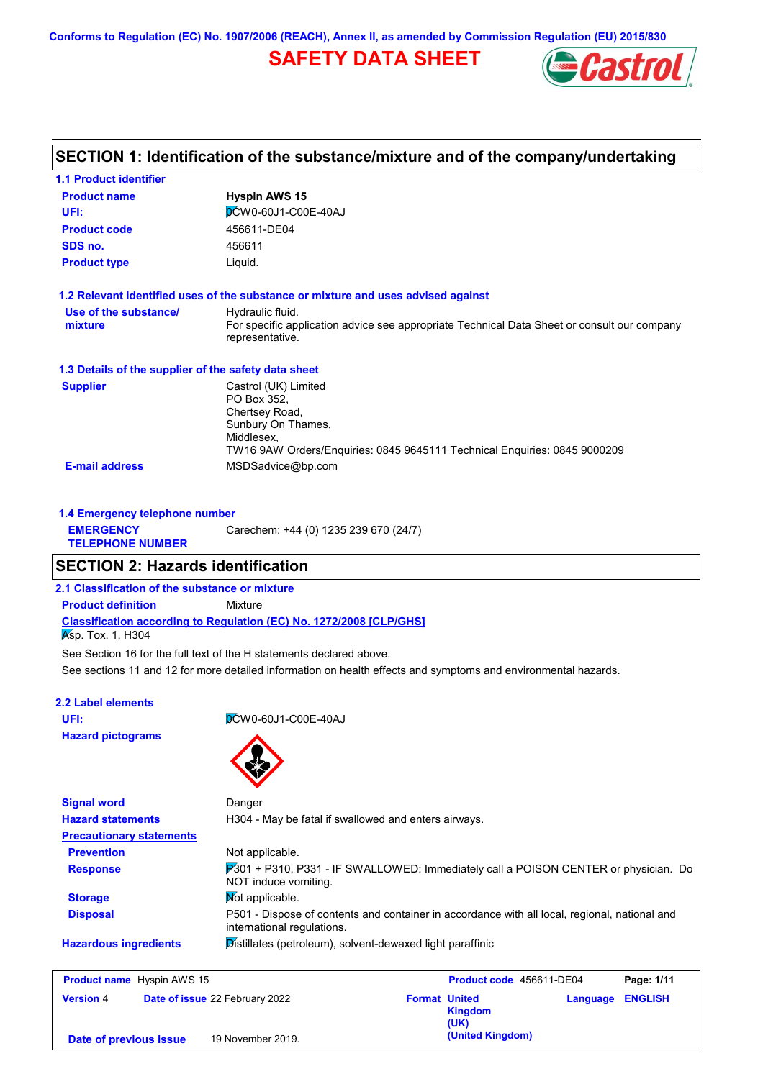**Conforms to Regulation (EC) No. 1907/2006 (REACH), Annex II, as amended by Commission Regulation (EU) 2015/830**

# **SAFETY DATA SHEET**



# **SECTION 1: Identification of the substance/mixture and of the company/undertaking**

| <b>1.1 Product identifier</b>                        |                                                                                                                                                                        |
|------------------------------------------------------|------------------------------------------------------------------------------------------------------------------------------------------------------------------------|
| <b>Product name</b>                                  | <b>Hyspin AWS 15</b>                                                                                                                                                   |
| UFI:                                                 | <b>OCW0-60J1-C00E-40AJ</b>                                                                                                                                             |
| <b>Product code</b>                                  | 456611-DE04                                                                                                                                                            |
| SDS no.                                              | 456611                                                                                                                                                                 |
| <b>Product type</b>                                  | Liquid.                                                                                                                                                                |
|                                                      | 1.2 Relevant identified uses of the substance or mixture and uses advised against                                                                                      |
| Use of the substance/<br>mixture                     | Hydraulic fluid.<br>For specific application advice see appropriate Technical Data Sheet or consult our company<br>representative.                                     |
| 1.3 Details of the supplier of the safety data sheet |                                                                                                                                                                        |
| <b>Supplier</b>                                      | Castrol (UK) Limited<br>PO Box 352,<br>Chertsey Road,<br>Sunbury On Thames,<br>Middlesex,<br>TW16 9AW Orders/Enquiries: 0845 9645111 Technical Enquiries: 0845 9000209 |
| <b>E-mail address</b>                                | MSDSadvice@bp.com                                                                                                                                                      |
| 1.4 Emergency telephone number                       |                                                                                                                                                                        |
| <b>EMERGENCY</b>                                     | Carechem: +44 (0) 1235 239 670 (24/7)                                                                                                                                  |

**TELEPHONE NUMBER**

## **SECTION 2: Hazards identification**

**2.1 Classification of the substance or mixture**

**Product definition** Mixture

**Classification according to Regulation (EC) No. 1272/2008 [CLP/GHS]**

 $\overline{\mathsf{K}}$ sp. Tox. 1, H304

See Section 16 for the full text of the H statements declared above.

See sections 11 and 12 for more detailed information on health effects and symptoms and environmental hazards.

### **2.2 Label elements**

**Hazard pictograms**

**UFI:** 0CW0-60J1-C00E-40AJ



| <b>Signal word</b>              | Danger                                                                                                                      |
|---------------------------------|-----------------------------------------------------------------------------------------------------------------------------|
| <b>Hazard statements</b>        | H304 - May be fatal if swallowed and enters airways.                                                                        |
| <b>Precautionary statements</b> |                                                                                                                             |
| <b>Prevention</b>               | Not applicable.                                                                                                             |
| <b>Response</b>                 | 7301 + P310, P331 - IF SWALLOWED: Immediately call a POISON CENTER or physician. Do<br>NOT induce vomiting.                 |
| <b>Storage</b>                  | <b>Not applicable.</b>                                                                                                      |
| <b>Disposal</b>                 | P501 - Dispose of contents and container in accordance with all local, regional, national and<br>international regulations. |
| <b>Hazardous ingredients</b>    | Distillates (petroleum), solvent-dewaxed light paraffinic                                                                   |
|                                 |                                                                                                                             |

| <b>Product name</b> Hyspin AWS 15 |                                       |                                                | Product code 456611-DE04 |                |
|-----------------------------------|---------------------------------------|------------------------------------------------|--------------------------|----------------|
| <b>Version 4</b>                  | <b>Date of issue 22 February 2022</b> | <b>Format United</b><br><b>Kingdom</b><br>(UK) | Language                 | <b>ENGLISH</b> |
| Date of previous issue            | 19 November 2019.                     | (United Kingdom)                               |                          |                |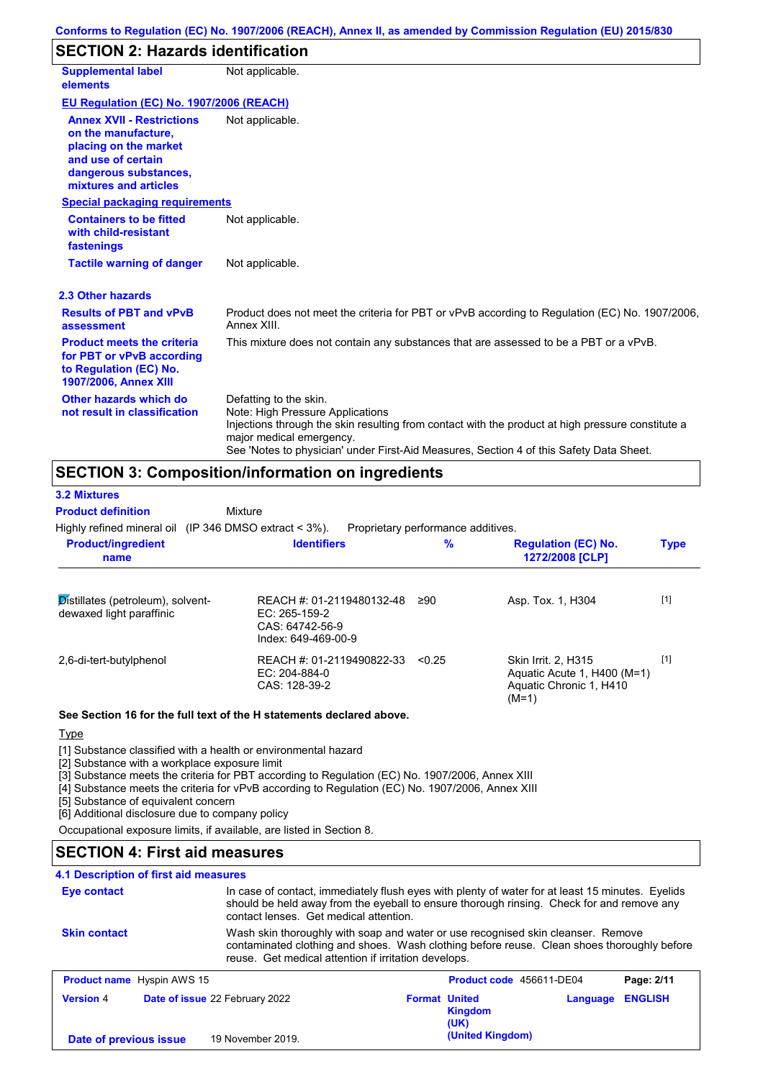# **SECTION 2: Hazards identification**

| <b>Supplemental label</b><br>elements                                                                                                                    | Not applicable.                                                                                                                                                                                                                                                                        |
|----------------------------------------------------------------------------------------------------------------------------------------------------------|----------------------------------------------------------------------------------------------------------------------------------------------------------------------------------------------------------------------------------------------------------------------------------------|
| EU Regulation (EC) No. 1907/2006 (REACH)                                                                                                                 |                                                                                                                                                                                                                                                                                        |
| <b>Annex XVII - Restrictions</b><br>on the manufacture.<br>placing on the market<br>and use of certain<br>dangerous substances,<br>mixtures and articles | Not applicable.                                                                                                                                                                                                                                                                        |
| <b>Special packaging requirements</b>                                                                                                                    |                                                                                                                                                                                                                                                                                        |
| <b>Containers to be fitted</b><br>with child-resistant<br>fastenings                                                                                     | Not applicable.                                                                                                                                                                                                                                                                        |
| <b>Tactile warning of danger</b>                                                                                                                         | Not applicable.                                                                                                                                                                                                                                                                        |
| 2.3 Other hazards                                                                                                                                        |                                                                                                                                                                                                                                                                                        |
| <b>Results of PBT and vPvB</b><br>assessment                                                                                                             | Product does not meet the criteria for PBT or vPvB according to Regulation (EC) No. 1907/2006,<br>Annex XIII.                                                                                                                                                                          |
| <b>Product meets the criteria</b><br>for PBT or vPvB according<br>to Regulation (EC) No.<br><b>1907/2006, Annex XIII</b>                                 | This mixture does not contain any substances that are assessed to be a PBT or a vPvB.                                                                                                                                                                                                  |
| Other hazards which do<br>not result in classification                                                                                                   | Defatting to the skin.<br>Note: High Pressure Applications<br>Injections through the skin resulting from contact with the product at high pressure constitute a<br>major medical emergency.<br>See 'Notes to physician' under First-Aid Measures, Section 4 of this Safety Data Sheet. |

# **SECTION 3: Composition/information on ingredients**

| <b>3.2 Mixtures</b>                                              |                                                                                      |                                    |                                                                                          |             |
|------------------------------------------------------------------|--------------------------------------------------------------------------------------|------------------------------------|------------------------------------------------------------------------------------------|-------------|
| <b>Product definition</b>                                        | Mixture                                                                              |                                    |                                                                                          |             |
| Highly refined mineral oil (IP 346 DMSO extract $<$ 3%).         |                                                                                      | Proprietary performance additives. |                                                                                          |             |
| <b>Product/ingredient</b><br>name                                | <b>Identifiers</b>                                                                   | $\%$                               | <b>Regulation (EC) No.</b><br>1272/2008 [CLP]                                            | <b>Type</b> |
| $Distillates (petroleum)$ , solvent-<br>dewaxed light paraffinic | REACH #: 01-2119480132-48<br>EC: 265-159-2<br>CAS: 64742-56-9<br>Index: 649-469-00-9 | ≥90                                | Asp. Tox. 1, H304                                                                        | $[1]$       |
| 2,6-di-tert-butylphenol                                          | REACH #: 01-2119490822-33<br>$EC: 204-884-0$<br>CAS: 128-39-2                        | < 0.25                             | Skin Irrit. 2, H315<br>Aquatic Acute 1, H400 (M=1)<br>Aquatic Chronic 1, H410<br>$(M=1)$ | $[1]$       |

### **See Section 16 for the full text of the H statements declared above.**

### **Type**

[1] Substance classified with a health or environmental hazard

[2] Substance with a workplace exposure limit

[3] Substance meets the criteria for PBT according to Regulation (EC) No. 1907/2006, Annex XIII

[4] Substance meets the criteria for vPvB according to Regulation (EC) No. 1907/2006, Annex XIII

**(United Kingdom) Date of previous issue** 19 November 2019.

[5] Substance of equivalent concern

[6] Additional disclosure due to company policy

Occupational exposure limits, if available, are listed in Section 8.

## **SECTION 4: First aid measures**

## **4.1 Description of first aid measures**

| <b>Eye contact</b>  | In case of contact, immediately flush eyes with plenty of water for at least 15 minutes. Eyelids<br>should be held away from the eyeball to ensure thorough rinsing. Check for and remove any<br>contact lenses. Get medical attention. |                                        |                          |                |
|---------------------|-----------------------------------------------------------------------------------------------------------------------------------------------------------------------------------------------------------------------------------------|----------------------------------------|--------------------------|----------------|
| <b>Skin contact</b> | Wash skin thoroughly with soap and water or use recognised skin cleanser. Remove<br>contaminated clothing and shoes. Wash clothing before reuse. Clean shoes thoroughly before<br>reuse. Get medical attention if irritation develops.  |                                        |                          |                |
|                     | <b>Product name</b> Hyspin AWS 15                                                                                                                                                                                                       |                                        | Product code 456611-DE04 | Page: 2/11     |
| <b>Version 4</b>    | Date of issue 22 February 2022                                                                                                                                                                                                          | <b>Format United</b><br><b>Kingdom</b> | Language                 | <b>ENGLISH</b> |

**(UK)**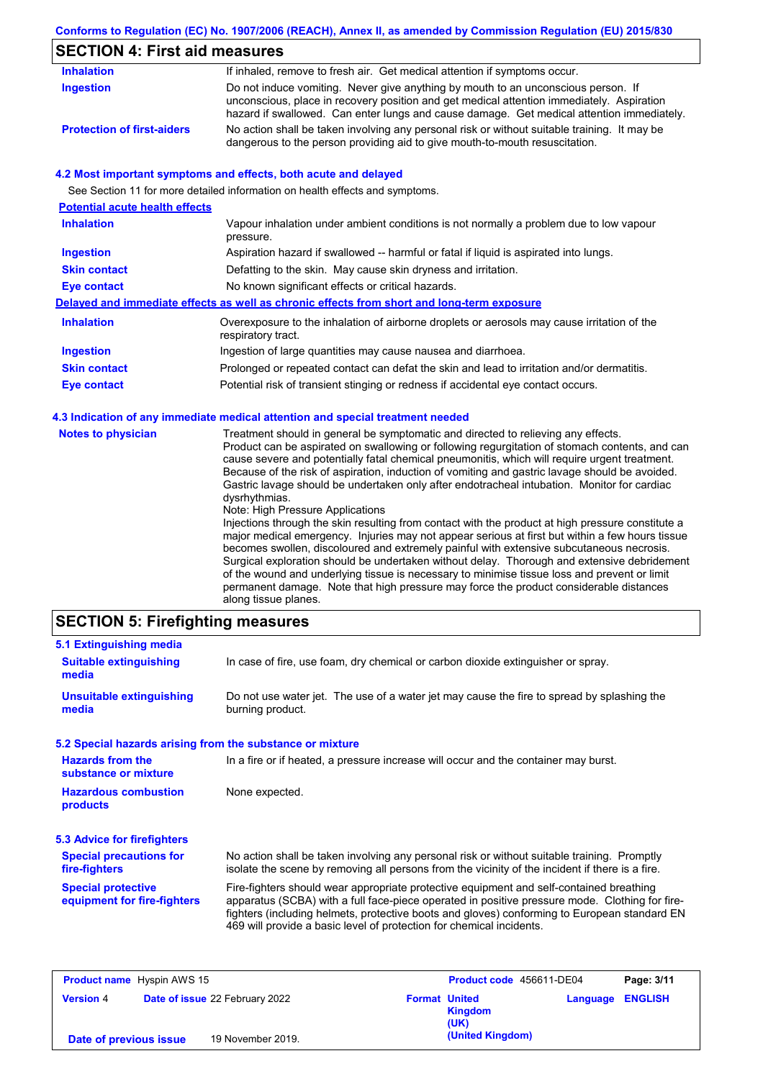## **Conforms to Regulation (EC) No. 1907/2006 (REACH), Annex II, as amended by Commission Regulation (EU) 2015/830**

# **SECTION 4: First aid measures**

| <b>Inhalation</b>                 | If inhaled, remove to fresh air. Get medical attention if symptoms occur.                                                                                                                                                                                                   |
|-----------------------------------|-----------------------------------------------------------------------------------------------------------------------------------------------------------------------------------------------------------------------------------------------------------------------------|
| Ingestion                         | Do not induce vomiting. Never give anything by mouth to an unconscious person. If<br>unconscious, place in recovery position and get medical attention immediately. Aspiration<br>hazard if swallowed. Can enter lungs and cause damage. Get medical attention immediately. |
| <b>Protection of first-aiders</b> | No action shall be taken involving any personal risk or without suitable training. It may be<br>dangerous to the person providing aid to give mouth-to-mouth resuscitation.                                                                                                 |

### **4.2 Most important symptoms and effects, both acute and delayed**

See Section 11 for more detailed information on health effects and symptoms.

| <b>Potential acute health effects</b> |                                                                                                                   |
|---------------------------------------|-------------------------------------------------------------------------------------------------------------------|
| <b>Inhalation</b>                     | Vapour inhalation under ambient conditions is not normally a problem due to low vapour<br>pressure.               |
| <b>Ingestion</b>                      | Aspiration hazard if swallowed -- harmful or fatal if liquid is aspirated into lungs.                             |
| <b>Skin contact</b>                   | Defatting to the skin. May cause skin dryness and irritation.                                                     |
| Eye contact                           | No known significant effects or critical hazards.                                                                 |
|                                       | Delayed and immediate effects as well as chronic effects from short and long-term exposure                        |
| <b>Inhalation</b>                     | Overexposure to the inhalation of airborne droplets or aerosols may cause irritation of the<br>respiratory tract. |
| <b>Ingestion</b>                      | Ingestion of large quantities may cause nausea and diarrhoea.                                                     |
| <b>Skin contact</b>                   | Prolonged or repeated contact can defat the skin and lead to irritation and/or dermatitis.                        |
| Eye contact                           | Potential risk of transient stinging or redness if accidental eye contact occurs.                                 |
|                                       |                                                                                                                   |

### **4.3 Indication of any immediate medical attention and special treatment needed**

| <b>Notes to physician</b> | Treatment should in general be symptomatic and directed to relieving any effects.<br>Product can be aspirated on swallowing or following regurgitation of stomach contents, and can<br>cause severe and potentially fatal chemical pneumonitis, which will require urgent treatment.<br>Because of the risk of aspiration, induction of vomiting and gastric lavage should be avoided.<br>Gastric lavage should be undertaken only after endotracheal intubation. Monitor for cardiac<br>dysrhythmias.<br>Note: High Pressure Applications<br>Injections through the skin resulting from contact with the product at high pressure constitute a<br>major medical emergency. Injuries may not appear serious at first but within a few hours tissue<br>becomes swollen, discoloured and extremely painful with extensive subcutaneous necrosis.<br>Surgical exploration should be undertaken without delay. Thorough and extensive debridement<br>of the wound and underlying tissue is necessary to minimise tissue loss and prevent or limit<br>permanent damage. Note that high pressure may force the product considerable distances<br>along tissue planes. |
|---------------------------|-----------------------------------------------------------------------------------------------------------------------------------------------------------------------------------------------------------------------------------------------------------------------------------------------------------------------------------------------------------------------------------------------------------------------------------------------------------------------------------------------------------------------------------------------------------------------------------------------------------------------------------------------------------------------------------------------------------------------------------------------------------------------------------------------------------------------------------------------------------------------------------------------------------------------------------------------------------------------------------------------------------------------------------------------------------------------------------------------------------------------------------------------------------------|
|---------------------------|-----------------------------------------------------------------------------------------------------------------------------------------------------------------------------------------------------------------------------------------------------------------------------------------------------------------------------------------------------------------------------------------------------------------------------------------------------------------------------------------------------------------------------------------------------------------------------------------------------------------------------------------------------------------------------------------------------------------------------------------------------------------------------------------------------------------------------------------------------------------------------------------------------------------------------------------------------------------------------------------------------------------------------------------------------------------------------------------------------------------------------------------------------------------|

## **SECTION 5: Firefighting measures**

| 5.1 Extinguishing media                                   |                                                                                                                                                                                                                                                                                                                                                                   |
|-----------------------------------------------------------|-------------------------------------------------------------------------------------------------------------------------------------------------------------------------------------------------------------------------------------------------------------------------------------------------------------------------------------------------------------------|
| <b>Suitable extinguishing</b><br>media                    | In case of fire, use foam, dry chemical or carbon dioxide extinguisher or spray.                                                                                                                                                                                                                                                                                  |
| <b>Unsuitable extinguishing</b><br>media                  | Do not use water jet. The use of a water jet may cause the fire to spread by splashing the<br>burning product.                                                                                                                                                                                                                                                    |
| 5.2 Special hazards arising from the substance or mixture |                                                                                                                                                                                                                                                                                                                                                                   |
| <b>Hazards from the</b><br>substance or mixture           | In a fire or if heated, a pressure increase will occur and the container may burst.                                                                                                                                                                                                                                                                               |
| <b>Hazardous combustion</b><br>products                   | None expected.                                                                                                                                                                                                                                                                                                                                                    |
| 5.3 Advice for firefighters                               |                                                                                                                                                                                                                                                                                                                                                                   |
| <b>Special precautions for</b><br>fire-fighters           | No action shall be taken involving any personal risk or without suitable training. Promptly<br>isolate the scene by removing all persons from the vicinity of the incident if there is a fire.                                                                                                                                                                    |
| <b>Special protective</b><br>equipment for fire-fighters  | Fire-fighters should wear appropriate protective equipment and self-contained breathing<br>apparatus (SCBA) with a full face-piece operated in positive pressure mode. Clothing for fire-<br>fighters (including helmets, protective boots and gloves) conforming to European standard EN<br>469 will provide a basic level of protection for chemical incidents. |

| <b>Product name</b> Hyspin AWS 15 |                                       | Product code 456611-DE04 |                  | Page: 3/11 |                         |
|-----------------------------------|---------------------------------------|--------------------------|------------------|------------|-------------------------|
| <b>Version 4</b>                  | <b>Date of issue 22 February 2022</b> | <b>Format United</b>     | Kingdom<br>(UK)  |            | <b>Language ENGLISH</b> |
| Date of previous issue            | 19 November 2019.                     |                          | (United Kingdom) |            |                         |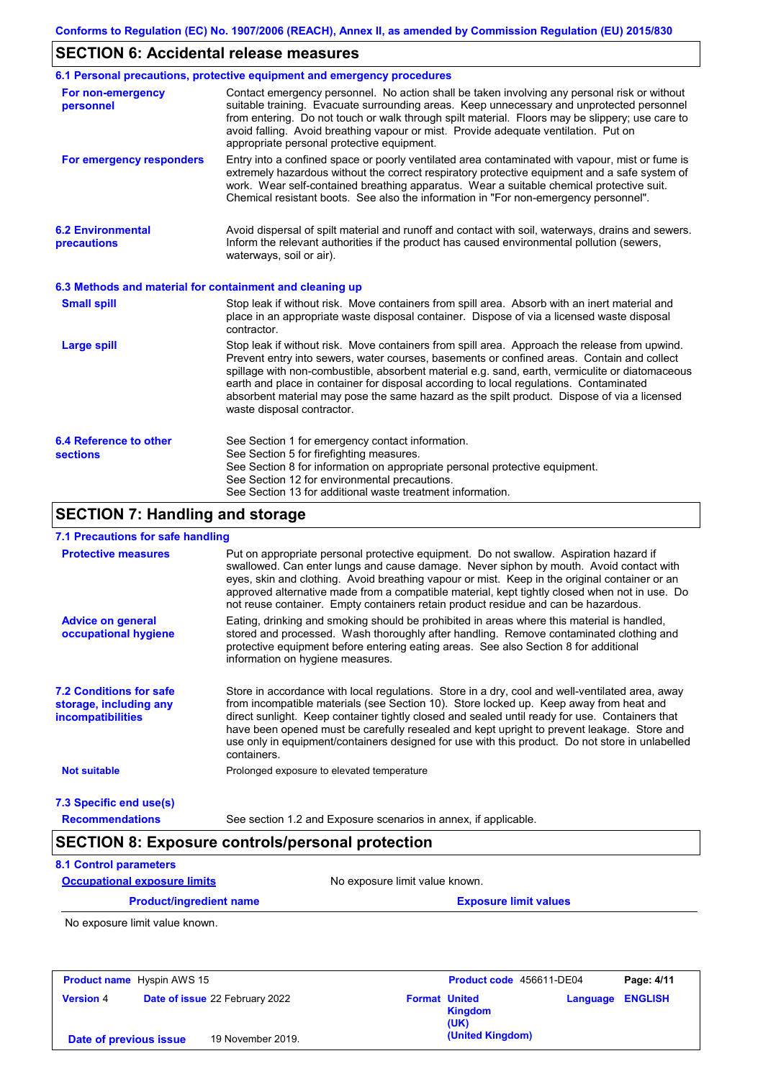# **SECTION 6: Accidental release measures**

|                                                          | 6.1 Personal precautions, protective equipment and emergency procedures                                                                                                                                                                                                                                                                                                                                                                                                                                               |
|----------------------------------------------------------|-----------------------------------------------------------------------------------------------------------------------------------------------------------------------------------------------------------------------------------------------------------------------------------------------------------------------------------------------------------------------------------------------------------------------------------------------------------------------------------------------------------------------|
| For non-emergency<br>personnel                           | Contact emergency personnel. No action shall be taken involving any personal risk or without<br>suitable training. Evacuate surrounding areas. Keep unnecessary and unprotected personnel<br>from entering. Do not touch or walk through spilt material. Floors may be slippery; use care to<br>avoid falling. Avoid breathing vapour or mist. Provide adequate ventilation. Put on<br>appropriate personal protective equipment.                                                                                     |
| For emergency responders                                 | Entry into a confined space or poorly ventilated area contaminated with vapour, mist or fume is<br>extremely hazardous without the correct respiratory protective equipment and a safe system of<br>work. Wear self-contained breathing apparatus. Wear a suitable chemical protective suit.<br>Chemical resistant boots. See also the information in "For non-emergency personnel".                                                                                                                                  |
| <b>6.2 Environmental</b><br>precautions                  | Avoid dispersal of spilt material and runoff and contact with soil, waterways, drains and sewers.<br>Inform the relevant authorities if the product has caused environmental pollution (sewers,<br>waterways, soil or air).                                                                                                                                                                                                                                                                                           |
| 6.3 Methods and material for containment and cleaning up |                                                                                                                                                                                                                                                                                                                                                                                                                                                                                                                       |
| <b>Small spill</b>                                       | Stop leak if without risk. Move containers from spill area. Absorb with an inert material and<br>place in an appropriate waste disposal container. Dispose of via a licensed waste disposal<br>contractor.                                                                                                                                                                                                                                                                                                            |
| <b>Large spill</b>                                       | Stop leak if without risk. Move containers from spill area. Approach the release from upwind.<br>Prevent entry into sewers, water courses, basements or confined areas. Contain and collect<br>spillage with non-combustible, absorbent material e.g. sand, earth, vermiculite or diatomaceous<br>earth and place in container for disposal according to local regulations. Contaminated<br>absorbent material may pose the same hazard as the spilt product. Dispose of via a licensed<br>waste disposal contractor. |
| 6.4 Reference to other<br><b>sections</b>                | See Section 1 for emergency contact information.<br>See Section 5 for firefighting measures.<br>See Section 8 for information on appropriate personal protective equipment.<br>See Section 12 for environmental precautions.<br>See Section 13 for additional waste treatment information.                                                                                                                                                                                                                            |

# **SECTION 7: Handling and storage**

### **7.1 Precautions for safe handling**

| <b>Protective measures</b>                                                           | Put on appropriate personal protective equipment. Do not swallow. Aspiration hazard if<br>swallowed. Can enter lungs and cause damage. Never siphon by mouth. Avoid contact with<br>eyes, skin and clothing. Avoid breathing vapour or mist. Keep in the original container or an<br>approved alternative made from a compatible material, kept tightly closed when not in use. Do<br>not reuse container. Empty containers retain product residue and can be hazardous.                                    |
|--------------------------------------------------------------------------------------|-------------------------------------------------------------------------------------------------------------------------------------------------------------------------------------------------------------------------------------------------------------------------------------------------------------------------------------------------------------------------------------------------------------------------------------------------------------------------------------------------------------|
| <b>Advice on general</b><br>occupational hygiene                                     | Eating, drinking and smoking should be prohibited in areas where this material is handled,<br>stored and processed. Wash thoroughly after handling. Remove contaminated clothing and<br>protective equipment before entering eating areas. See also Section 8 for additional<br>information on hygiene measures.                                                                                                                                                                                            |
| <b>7.2 Conditions for safe</b><br>storage, including any<br><b>incompatibilities</b> | Store in accordance with local regulations. Store in a dry, cool and well-ventilated area, away<br>from incompatible materials (see Section 10). Store locked up. Keep away from heat and<br>direct sunlight. Keep container tightly closed and sealed until ready for use. Containers that<br>have been opened must be carefully resealed and kept upright to prevent leakage. Store and<br>use only in equipment/containers designed for use with this product. Do not store in unlabelled<br>containers. |
| <b>Not suitable</b>                                                                  | Prolonged exposure to elevated temperature                                                                                                                                                                                                                                                                                                                                                                                                                                                                  |
| 7.3 Specific end use(s)                                                              |                                                                                                                                                                                                                                                                                                                                                                                                                                                                                                             |
|                                                                                      | See section 1.2 and Exposure scenarios in annex, if applicable.                                                                                                                                                                                                                                                                                                                                                                                                                                             |

**Occupational exposure limits** No exposure limit value known.

**Product/ingredient name Exposure limit values** 

No exposure limit value known.

| <b>Product name</b> Hyspin AWS 15 |  |                                       |                      | Product code 456611-DE04 |                         | Page: 4/11 |
|-----------------------------------|--|---------------------------------------|----------------------|--------------------------|-------------------------|------------|
| <b>Version 4</b>                  |  | <b>Date of issue 22 February 2022</b> | <b>Format United</b> | <b>Kingdom</b><br>(UK)   | <b>Language ENGLISH</b> |            |
| Date of previous issue            |  | 19 November 2019.                     |                      | (United Kingdom)         |                         |            |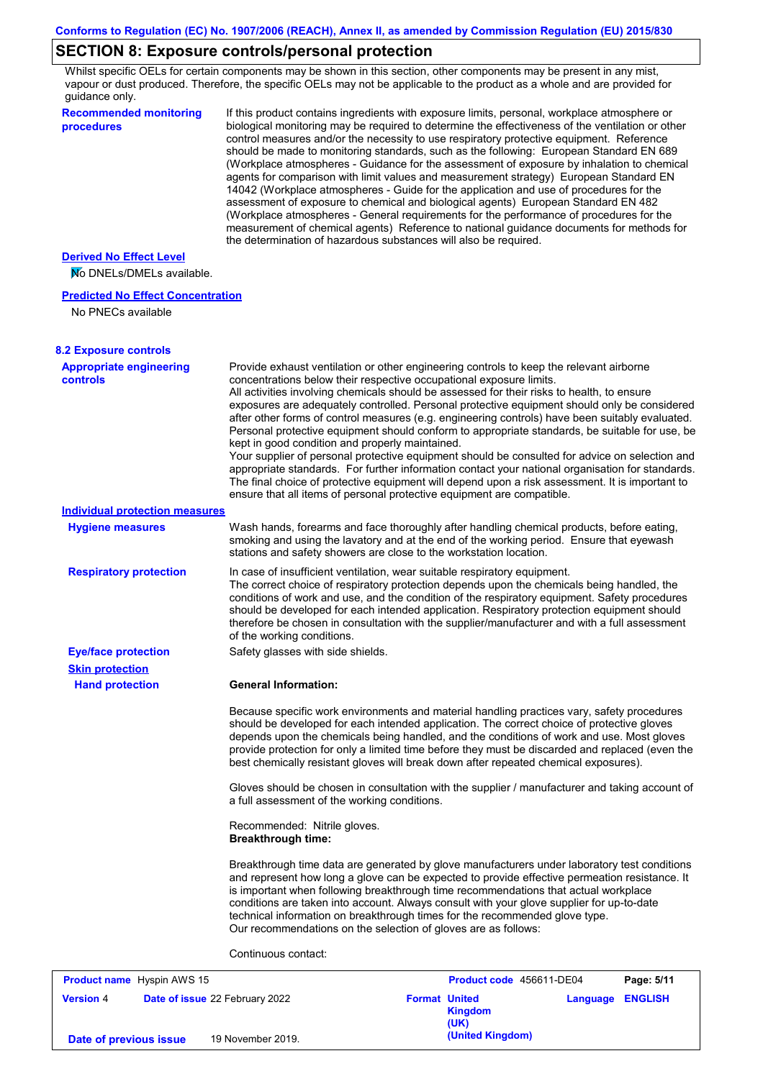# **SECTION 8: Exposure controls/personal protection**

Whilst specific OELs for certain components may be shown in this section, other components may be present in any mist, vapour or dust produced. Therefore, the specific OELs may not be applicable to the product as a whole and are provided for guidance only.

| <b>Recommended monitoring</b><br>procedures                    | If this product contains ingredients with exposure limits, personal, workplace atmosphere or<br>biological monitoring may be required to determine the effectiveness of the ventilation or other<br>control measures and/or the necessity to use respiratory protective equipment. Reference<br>should be made to monitoring standards, such as the following: European Standard EN 689<br>(Workplace atmospheres - Guidance for the assessment of exposure by inhalation to chemical<br>agents for comparison with limit values and measurement strategy) European Standard EN<br>14042 (Workplace atmospheres - Guide for the application and use of procedures for the<br>assessment of exposure to chemical and biological agents) European Standard EN 482<br>(Workplace atmospheres - General requirements for the performance of procedures for the<br>measurement of chemical agents) Reference to national guidance documents for methods for<br>the determination of hazardous substances will also be required. |
|----------------------------------------------------------------|----------------------------------------------------------------------------------------------------------------------------------------------------------------------------------------------------------------------------------------------------------------------------------------------------------------------------------------------------------------------------------------------------------------------------------------------------------------------------------------------------------------------------------------------------------------------------------------------------------------------------------------------------------------------------------------------------------------------------------------------------------------------------------------------------------------------------------------------------------------------------------------------------------------------------------------------------------------------------------------------------------------------------|
| <b>Derived No Effect Level</b><br>No DNELs/DMELs available.    |                                                                                                                                                                                                                                                                                                                                                                                                                                                                                                                                                                                                                                                                                                                                                                                                                                                                                                                                                                                                                            |
| <b>Predicted No Effect Concentration</b><br>No PNECs available |                                                                                                                                                                                                                                                                                                                                                                                                                                                                                                                                                                                                                                                                                                                                                                                                                                                                                                                                                                                                                            |
| <b>8.2 Exposure controls</b>                                   |                                                                                                                                                                                                                                                                                                                                                                                                                                                                                                                                                                                                                                                                                                                                                                                                                                                                                                                                                                                                                            |
| <b>Appropriate engineering</b><br><b>controls</b>              | Provide exhaust ventilation or other engineering controls to keep the relevant airborne<br>concentrations below their respective occupational exposure limits.<br>All activities involving chemicals should be assessed for their risks to health, to ensure<br>exposures are adequately controlled. Personal protective equipment should only be considered<br>after other forms of control measures (e.g. engineering controls) have been suitably evaluated.<br>Personal protective equipment should conform to appropriate standards, be suitable for use, be<br>kept in good condition and properly maintained.<br>Your supplier of personal protective equipment should be consulted for advice on selection and<br>appropriate standards. For further information contact your national organisation for standards.<br>The final choice of protective equipment will depend upon a risk assessment. It is important to<br>ensure that all items of personal protective equipment are compatible.                    |
| <b>Individual protection measures</b>                          |                                                                                                                                                                                                                                                                                                                                                                                                                                                                                                                                                                                                                                                                                                                                                                                                                                                                                                                                                                                                                            |
| <b>Hygiene measures</b>                                        | Wash hands, forearms and face thoroughly after handling chemical products, before eating,<br>smoking and using the lavatory and at the end of the working period. Ensure that eyewash<br>stations and safety showers are close to the workstation location.                                                                                                                                                                                                                                                                                                                                                                                                                                                                                                                                                                                                                                                                                                                                                                |
| <b>Respiratory protection</b>                                  | In case of insufficient ventilation, wear suitable respiratory equipment.<br>The correct choice of respiratory protection depends upon the chemicals being handled, the<br>conditions of work and use, and the condition of the respiratory equipment. Safety procedures<br>should be developed for each intended application. Respiratory protection equipment should<br>therefore be chosen in consultation with the supplier/manufacturer and with a full assessment<br>of the working conditions.                                                                                                                                                                                                                                                                                                                                                                                                                                                                                                                      |
| <b>Eye/face protection</b>                                     | Safety glasses with side shields.                                                                                                                                                                                                                                                                                                                                                                                                                                                                                                                                                                                                                                                                                                                                                                                                                                                                                                                                                                                          |
| <b>Skin protection</b>                                         |                                                                                                                                                                                                                                                                                                                                                                                                                                                                                                                                                                                                                                                                                                                                                                                                                                                                                                                                                                                                                            |
| <b>Hand protection</b>                                         | <b>General Information:</b>                                                                                                                                                                                                                                                                                                                                                                                                                                                                                                                                                                                                                                                                                                                                                                                                                                                                                                                                                                                                |
|                                                                | Because specific work environments and material handling practices vary, safety procedures<br>should be developed for each intended application. The correct choice of protective gloves<br>depends upon the chemicals being handled, and the conditions of work and use. Most gloves<br>provide protection for only a limited time before they must be discarded and replaced (even the<br>best chemically resistant gloves will break down after repeated chemical exposures).                                                                                                                                                                                                                                                                                                                                                                                                                                                                                                                                           |
|                                                                | Gloves should be chosen in consultation with the supplier / manufacturer and taking account of<br>a full assessment of the working conditions.                                                                                                                                                                                                                                                                                                                                                                                                                                                                                                                                                                                                                                                                                                                                                                                                                                                                             |
|                                                                | Recommended: Nitrile gloves.<br><b>Breakthrough time:</b>                                                                                                                                                                                                                                                                                                                                                                                                                                                                                                                                                                                                                                                                                                                                                                                                                                                                                                                                                                  |
|                                                                | Breakthrough time data are generated by glove manufacturers under laboratory test conditions<br>and represent how long a glove can be expected to provide effective permeation resistance. It<br>is important when following breakthrough time recommendations that actual workplace<br>conditions are taken into account. Always consult with your glove supplier for up-to-date<br>technical information on breakthrough times for the recommended glove type.<br>Our recommendations on the selection of gloves are as follows:                                                                                                                                                                                                                                                                                                                                                                                                                                                                                         |
|                                                                | Continuous contact:                                                                                                                                                                                                                                                                                                                                                                                                                                                                                                                                                                                                                                                                                                                                                                                                                                                                                                                                                                                                        |
|                                                                |                                                                                                                                                                                                                                                                                                                                                                                                                                                                                                                                                                                                                                                                                                                                                                                                                                                                                                                                                                                                                            |

|                        | <b>Product name</b> Hyspin AWS 15     |                      | Product code 456611-DE04 |                         | Page: 5/11 |
|------------------------|---------------------------------------|----------------------|--------------------------|-------------------------|------------|
| <b>Version 4</b>       | <b>Date of issue 22 February 2022</b> | <b>Format United</b> | Kingdom<br>(UK)          | <b>Language ENGLISH</b> |            |
| Date of previous issue | 19 November 2019.                     |                      | (United Kingdom)         |                         |            |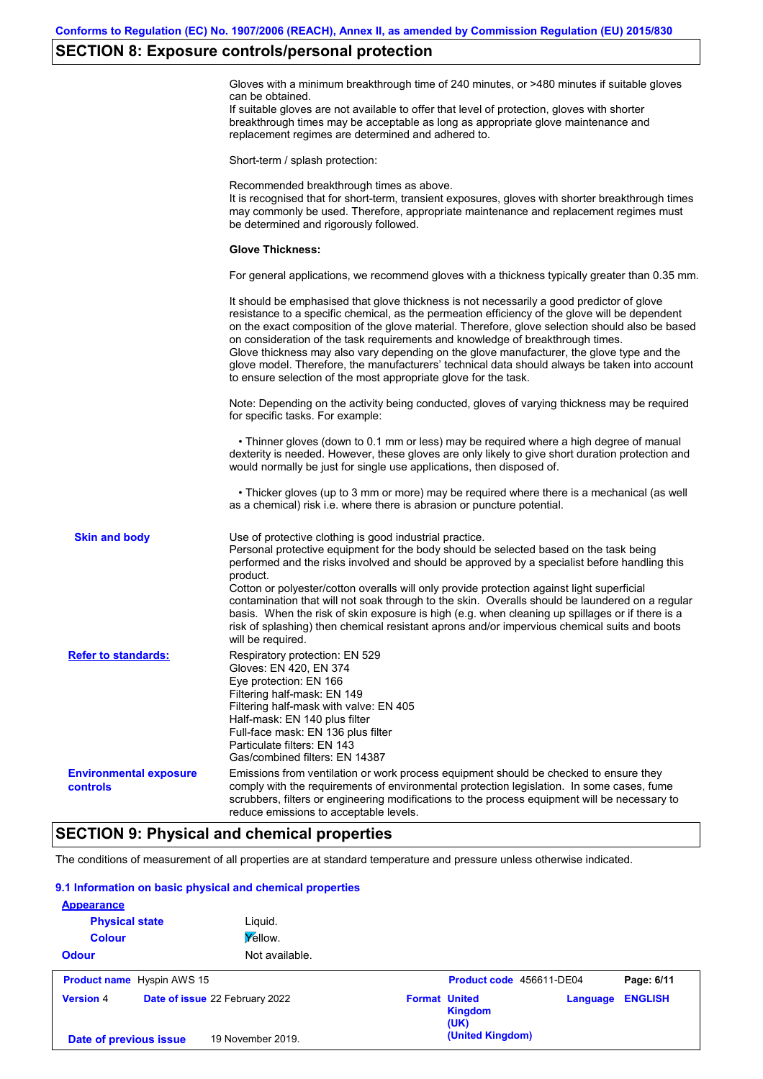# **SECTION 8: Exposure controls/personal protection**

|                                                  | Gloves with a minimum breakthrough time of 240 minutes, or >480 minutes if suitable gloves<br>can be obtained.<br>If suitable gloves are not available to offer that level of protection, gloves with shorter<br>breakthrough times may be acceptable as long as appropriate glove maintenance and<br>replacement regimes are determined and adhered to.                                                                                                                                                                                                                                                                                          |
|--------------------------------------------------|---------------------------------------------------------------------------------------------------------------------------------------------------------------------------------------------------------------------------------------------------------------------------------------------------------------------------------------------------------------------------------------------------------------------------------------------------------------------------------------------------------------------------------------------------------------------------------------------------------------------------------------------------|
|                                                  | Short-term / splash protection:                                                                                                                                                                                                                                                                                                                                                                                                                                                                                                                                                                                                                   |
|                                                  | Recommended breakthrough times as above.<br>It is recognised that for short-term, transient exposures, gloves with shorter breakthrough times<br>may commonly be used. Therefore, appropriate maintenance and replacement regimes must<br>be determined and rigorously followed.                                                                                                                                                                                                                                                                                                                                                                  |
|                                                  | <b>Glove Thickness:</b>                                                                                                                                                                                                                                                                                                                                                                                                                                                                                                                                                                                                                           |
|                                                  | For general applications, we recommend gloves with a thickness typically greater than 0.35 mm.                                                                                                                                                                                                                                                                                                                                                                                                                                                                                                                                                    |
|                                                  | It should be emphasised that glove thickness is not necessarily a good predictor of glove<br>resistance to a specific chemical, as the permeation efficiency of the glove will be dependent<br>on the exact composition of the glove material. Therefore, glove selection should also be based<br>on consideration of the task requirements and knowledge of breakthrough times.<br>Glove thickness may also vary depending on the glove manufacturer, the glove type and the<br>glove model. Therefore, the manufacturers' technical data should always be taken into account<br>to ensure selection of the most appropriate glove for the task. |
|                                                  | Note: Depending on the activity being conducted, gloves of varying thickness may be required<br>for specific tasks. For example:                                                                                                                                                                                                                                                                                                                                                                                                                                                                                                                  |
|                                                  | • Thinner gloves (down to 0.1 mm or less) may be required where a high degree of manual<br>dexterity is needed. However, these gloves are only likely to give short duration protection and<br>would normally be just for single use applications, then disposed of.                                                                                                                                                                                                                                                                                                                                                                              |
|                                                  | • Thicker gloves (up to 3 mm or more) may be required where there is a mechanical (as well<br>as a chemical) risk i.e. where there is abrasion or puncture potential.                                                                                                                                                                                                                                                                                                                                                                                                                                                                             |
| <b>Skin and body</b>                             | Use of protective clothing is good industrial practice.<br>Personal protective equipment for the body should be selected based on the task being<br>performed and the risks involved and should be approved by a specialist before handling this<br>product.                                                                                                                                                                                                                                                                                                                                                                                      |
|                                                  | Cotton or polyester/cotton overalls will only provide protection against light superficial<br>contamination that will not soak through to the skin. Overalls should be laundered on a regular<br>basis. When the risk of skin exposure is high (e.g. when cleaning up spillages or if there is a<br>risk of splashing) then chemical resistant aprons and/or impervious chemical suits and boots<br>will be required.                                                                                                                                                                                                                             |
| <b>Refer to standards:</b>                       | Respiratory protection: EN 529<br>Gloves: EN 420, EN 374<br>Eye protection: EN 166<br>Filtering half-mask: EN 149<br>Filtering half-mask with valve: EN 405<br>Half-mask: EN 140 plus filter<br>Full-face mask: EN 136 plus filter<br>Particulate filters: EN 143<br>Gas/combined filters: EN 14387                                                                                                                                                                                                                                                                                                                                               |
| <b>Environmental exposure</b><br><b>controls</b> | Emissions from ventilation or work process equipment should be checked to ensure they<br>comply with the requirements of environmental protection legislation. In some cases, fume<br>scrubbers, filters or engineering modifications to the process equipment will be necessary to<br>reduce emissions to acceptable levels.                                                                                                                                                                                                                                                                                                                     |
|                                                  |                                                                                                                                                                                                                                                                                                                                                                                                                                                                                                                                                                                                                                                   |

# **SECTION 9: Physical and chemical properties**

The conditions of measurement of all properties are at standard temperature and pressure unless otherwise indicated.

### **9.1 Information on basic physical and chemical properties**

| <b>Appearance</b><br><b>Physical state</b> |                                   | Liguid.                        |                      |                          |          |                |
|--------------------------------------------|-----------------------------------|--------------------------------|----------------------|--------------------------|----------|----------------|
| <b>Colour</b>                              |                                   | Yellow.                        |                      |                          |          |                |
| <b>Odour</b>                               |                                   | Not available.                 |                      |                          |          |                |
|                                            | <b>Product name</b> Hyspin AWS 15 |                                |                      | Product code 456611-DE04 |          | Page: 6/11     |
| <b>Version 4</b>                           |                                   | Date of issue 22 February 2022 | <b>Format United</b> | <b>Kingdom</b><br>(UK)   | Language | <b>ENGLISH</b> |
| Date of previous issue                     |                                   | 19 November 2019.              |                      | (United Kingdom)         |          |                |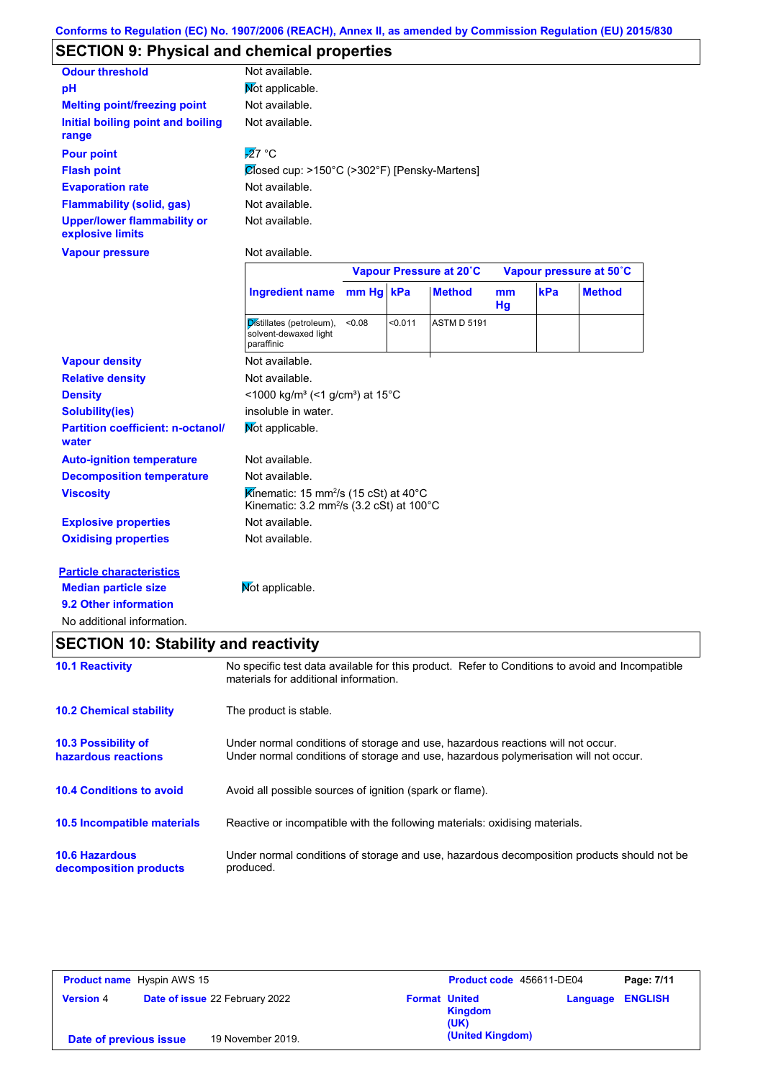## **SECTION 9: Physical and chemical properties**

| <b>Odour threshold</b>                                 | Not available.                                                                                                       |             |         |                         |          |     |                         |
|--------------------------------------------------------|----------------------------------------------------------------------------------------------------------------------|-------------|---------|-------------------------|----------|-----|-------------------------|
| pH                                                     | Not applicable.                                                                                                      |             |         |                         |          |     |                         |
| <b>Melting point/freezing point</b>                    | Not available.                                                                                                       |             |         |                         |          |     |                         |
| Initial boiling point and boiling<br>range             | Not available.                                                                                                       |             |         |                         |          |     |                         |
| <b>Pour point</b>                                      | $\overline{27}$ °C                                                                                                   |             |         |                         |          |     |                         |
| <b>Flash point</b>                                     | $\mathcal{O}$ fosed cup: >150°C (>302°F) [Pensky-Martens]                                                            |             |         |                         |          |     |                         |
| <b>Evaporation rate</b>                                | Not available.                                                                                                       |             |         |                         |          |     |                         |
| <b>Flammability (solid, gas)</b>                       | Not available.                                                                                                       |             |         |                         |          |     |                         |
| <b>Upper/lower flammability or</b><br>explosive limits | Not available.                                                                                                       |             |         |                         |          |     |                         |
| <b>Vapour pressure</b>                                 | Not available.                                                                                                       |             |         |                         |          |     |                         |
|                                                        |                                                                                                                      |             |         | Vapour Pressure at 20°C |          |     | Vapour pressure at 50°C |
|                                                        | <b>Ingredient name</b>                                                                                               | $mm Hg$ kPa |         | <b>Method</b>           | mm<br>Hg | kPa | <b>Method</b>           |
|                                                        | Distillates (petroleum),<br>solvent-dewaxed light<br>paraffinic                                                      | <0.08       | < 0.011 | <b>ASTM D 5191</b>      |          |     |                         |
| <b>Vapour density</b>                                  | Not available.                                                                                                       |             |         |                         |          |     |                         |
| <b>Relative density</b>                                | Not available.                                                                                                       |             |         |                         |          |     |                         |
| <b>Density</b>                                         | <1000 kg/m <sup>3</sup> (<1 g/cm <sup>3</sup> ) at 15 <sup>°</sup> C                                                 |             |         |                         |          |     |                         |
| <b>Solubility(ies)</b>                                 | insoluble in water.                                                                                                  |             |         |                         |          |     |                         |
| <b>Partition coefficient: n-octanol/</b><br>water      | Not applicable.                                                                                                      |             |         |                         |          |     |                         |
| <b>Auto-ignition temperature</b>                       | Not available.                                                                                                       |             |         |                         |          |     |                         |
| <b>Decomposition temperature</b>                       | Not available.                                                                                                       |             |         |                         |          |     |                         |
| <b>Viscosity</b>                                       | Kinematic: 15 mm <sup>2</sup> /s (15 cSt) at 40 $^{\circ}$ C<br>Kinematic: 3.2 mm <sup>2</sup> /s (3.2 cSt) at 100°C |             |         |                         |          |     |                         |
| <b>Explosive properties</b>                            | Not available.                                                                                                       |             |         |                         |          |     |                         |
| <b>Oxidising properties</b>                            | Not available.                                                                                                       |             |         |                         |          |     |                         |
| <b>Particle characteristics</b>                        |                                                                                                                      |             |         |                         |          |     |                         |
| <b>Median particle size</b>                            | Not applicable.                                                                                                      |             |         |                         |          |     |                         |
|                                                        |                                                                                                                      |             |         |                         |          |     |                         |

No additional information.

# **SECTION 10: Stability and reactivity**

| <b>10.1 Reactivity</b>                            | No specific test data available for this product. Refer to Conditions to avoid and Incompatible<br>materials for additional information.                                |
|---------------------------------------------------|-------------------------------------------------------------------------------------------------------------------------------------------------------------------------|
| <b>10.2 Chemical stability</b>                    | The product is stable.                                                                                                                                                  |
| <b>10.3 Possibility of</b><br>hazardous reactions | Under normal conditions of storage and use, hazardous reactions will not occur.<br>Under normal conditions of storage and use, hazardous polymerisation will not occur. |
| <b>10.4 Conditions to avoid</b>                   | Avoid all possible sources of ignition (spark or flame).                                                                                                                |
| <b>10.5 Incompatible materials</b>                | Reactive or incompatible with the following materials: oxidising materials.                                                                                             |
| <b>10.6 Hazardous</b><br>decomposition products   | Under normal conditions of storage and use, hazardous decomposition products should not be<br>produced.                                                                 |

| <b>Product name</b> Hyspin AWS 15 |                                       | Product code 456611-DE04                       | Page: 7/11                 |
|-----------------------------------|---------------------------------------|------------------------------------------------|----------------------------|
| <b>Version 4</b>                  | <b>Date of issue 22 February 2022</b> | <b>Format United</b><br><b>Kingdom</b><br>(UK) | <b>ENGLISH</b><br>Language |
| Date of previous issue            | 19 November 2019.                     | (United Kingdom)                               |                            |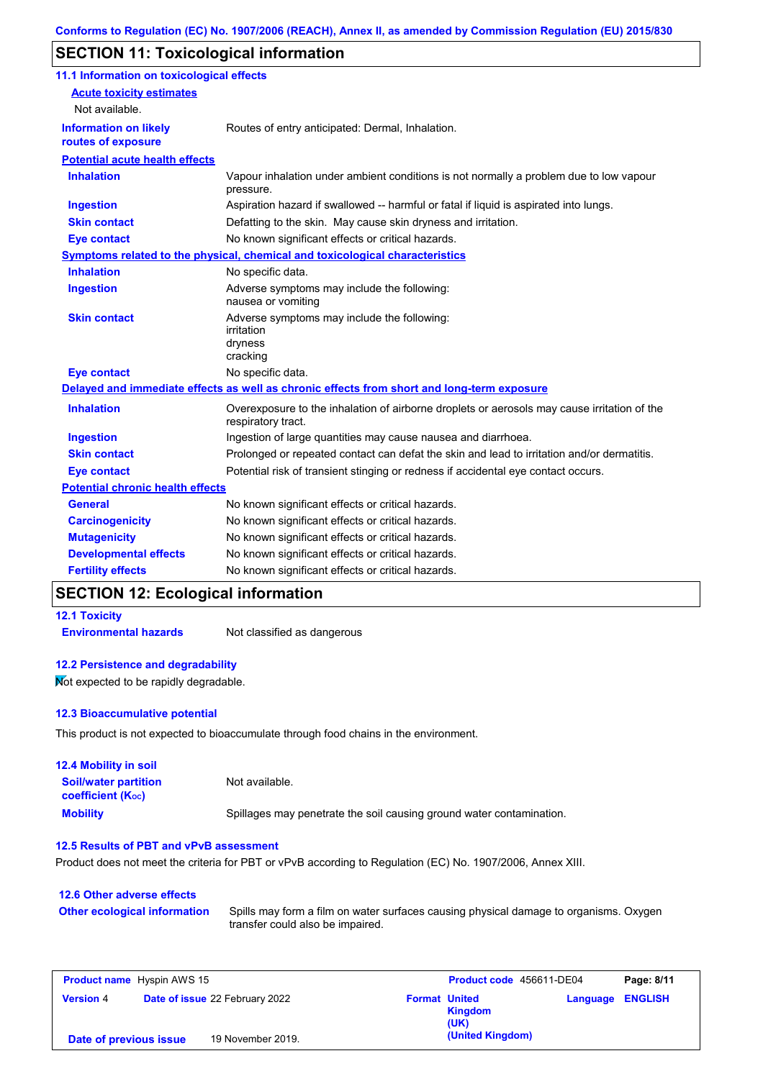# **SECTION 11: Toxicological information**

| 11.1 Information on toxicological effects          |                                                                                                                   |
|----------------------------------------------------|-------------------------------------------------------------------------------------------------------------------|
| <b>Acute toxicity estimates</b>                    |                                                                                                                   |
| Not available.                                     |                                                                                                                   |
| <b>Information on likely</b><br>routes of exposure | Routes of entry anticipated: Dermal, Inhalation.                                                                  |
| <b>Potential acute health effects</b>              |                                                                                                                   |
| <b>Inhalation</b>                                  | Vapour inhalation under ambient conditions is not normally a problem due to low vapour<br>pressure.               |
| <b>Ingestion</b>                                   | Aspiration hazard if swallowed -- harmful or fatal if liquid is aspirated into lungs.                             |
| <b>Skin contact</b>                                | Defatting to the skin. May cause skin dryness and irritation.                                                     |
| <b>Eye contact</b>                                 | No known significant effects or critical hazards.                                                                 |
|                                                    | Symptoms related to the physical, chemical and toxicological characteristics                                      |
| <b>Inhalation</b>                                  | No specific data.                                                                                                 |
| <b>Ingestion</b>                                   | Adverse symptoms may include the following:<br>nausea or vomiting                                                 |
| <b>Skin contact</b>                                | Adverse symptoms may include the following:<br>irritation<br>dryness<br>cracking                                  |
| <b>Eye contact</b>                                 | No specific data.                                                                                                 |
|                                                    | Delayed and immediate effects as well as chronic effects from short and long-term exposure                        |
| <b>Inhalation</b>                                  | Overexposure to the inhalation of airborne droplets or aerosols may cause irritation of the<br>respiratory tract. |
| <b>Ingestion</b>                                   | Ingestion of large quantities may cause nausea and diarrhoea.                                                     |
| <b>Skin contact</b>                                | Prolonged or repeated contact can defat the skin and lead to irritation and/or dermatitis.                        |
| <b>Eye contact</b>                                 | Potential risk of transient stinging or redness if accidental eye contact occurs.                                 |
| <b>Potential chronic health effects</b>            |                                                                                                                   |
| General                                            | No known significant effects or critical hazards.                                                                 |
| <b>Carcinogenicity</b>                             | No known significant effects or critical hazards.                                                                 |
| <b>Mutagenicity</b>                                | No known significant effects or critical hazards.                                                                 |
| <b>Developmental effects</b>                       | No known significant effects or critical hazards.                                                                 |
| <b>Fertility effects</b>                           | No known significant effects or critical hazards.                                                                 |

## **SECTION 12: Ecological information**

### **12.1 Toxicity**

**Environmental hazards** Not classified as dangerous

### **12.2 Persistence and degradability**

Not expected to be rapidly degradable.

### **12.3 Bioaccumulative potential**

This product is not expected to bioaccumulate through food chains in the environment.

| <b>12.4 Mobility in soil</b>                            |                                                                      |
|---------------------------------------------------------|----------------------------------------------------------------------|
| <b>Soil/water partition</b><br><b>coefficient (Koc)</b> | Not available.                                                       |
| <b>Mobility</b>                                         | Spillages may penetrate the soil causing ground water contamination. |

### **12.5 Results of PBT and vPvB assessment**

Product does not meet the criteria for PBT or vPvB according to Regulation (EC) No. 1907/2006, Annex XIII.

#### **12.6 Other adverse effects** Spills may form a film on water surfaces causing physical damage to organisms. Oxygen transfer could also be impaired. **Other ecological information**

| <b>Product name</b> Hyspin AWS 15 |                                       | Product code 456611-DE04 |                      | Page: 8/11             |                         |  |
|-----------------------------------|---------------------------------------|--------------------------|----------------------|------------------------|-------------------------|--|
| <b>Version 4</b>                  | <b>Date of issue 22 February 2022</b> |                          | <b>Format United</b> | <b>Kingdom</b><br>(UK) | <b>Language ENGLISH</b> |  |
| Date of previous issue            |                                       | 19 November 2019.        |                      | (United Kingdom)       |                         |  |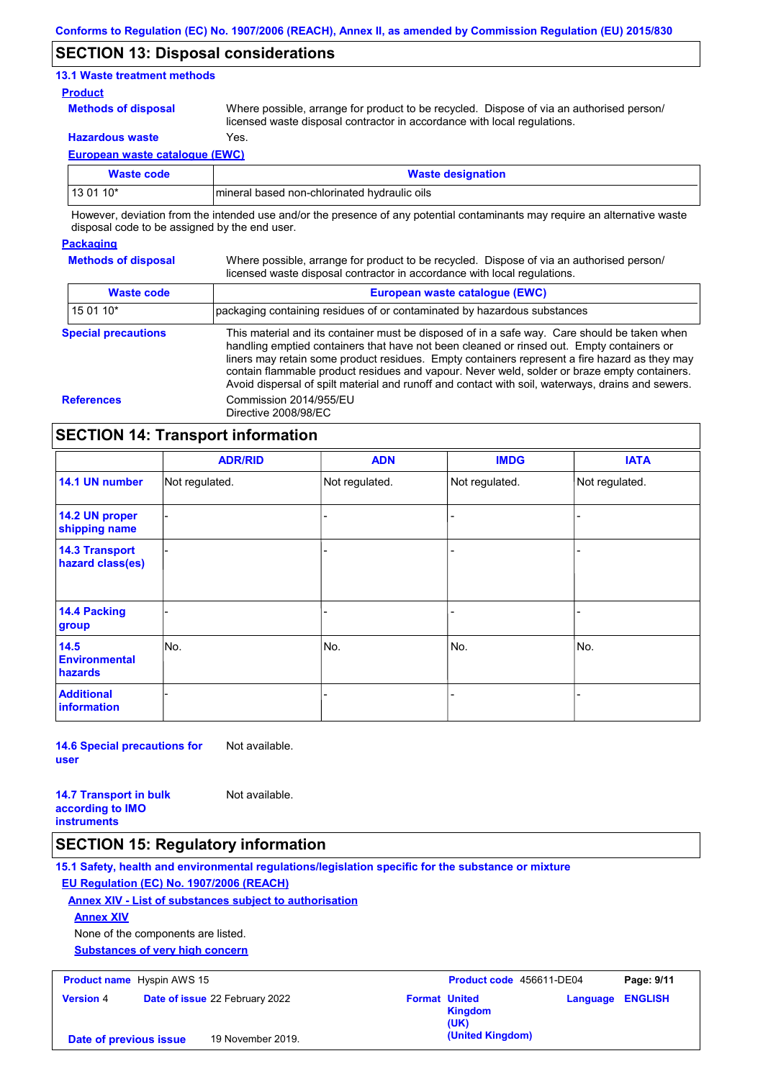### **SECTION 13: Disposal considerations**

### **13.1 Waste treatment methods**

### **Product**

**Methods of disposal**

Where possible, arrange for product to be recycled. Dispose of via an authorised person/ licensed waste disposal contractor in accordance with local regulations.

**Hazardous waste** Yes.

**Methods of disposal**

**European waste catalogue (EWC)**

| Waste code | <b>Waste designation</b>                      |
|------------|-----------------------------------------------|
| 13 01 10*  | Imineral based non-chlorinated hydraulic oils |

However, deviation from the intended use and/or the presence of any potential contaminants may require an alternative waste disposal code to be assigned by the end user.

### **Packaging**

Where possible, arrange for product to be recycled. Dispose of via an authorised person/ licensed waste disposal contractor in accordance with local regulations.

| <b>Waste code</b>          | European waste catalogue (EWC)<br>packaging containing residues of or contaminated by hazardous substances                                                                                                                                                                                                                                                                                                                                                                                      |  |  |  |
|----------------------------|-------------------------------------------------------------------------------------------------------------------------------------------------------------------------------------------------------------------------------------------------------------------------------------------------------------------------------------------------------------------------------------------------------------------------------------------------------------------------------------------------|--|--|--|
| $150110*$                  |                                                                                                                                                                                                                                                                                                                                                                                                                                                                                                 |  |  |  |
| <b>Special precautions</b> | This material and its container must be disposed of in a safe way. Care should be taken when<br>handling emptied containers that have not been cleaned or rinsed out. Empty containers or<br>liners may retain some product residues. Empty containers represent a fire hazard as they may<br>contain flammable product residues and vapour. Never weld, solder or braze empty containers.<br>Avoid dispersal of spilt material and runoff and contact with soil, waterways, drains and sewers. |  |  |  |
| <b>References</b>          | Commission 2014/955/EU<br>Directive 2008/98/EC                                                                                                                                                                                                                                                                                                                                                                                                                                                  |  |  |  |

## **SECTION 14: Transport information**

|                                           | <b>ADR/RID</b> | <b>ADN</b>     | <b>IMDG</b>    | <b>IATA</b>    |
|-------------------------------------------|----------------|----------------|----------------|----------------|
| 14.1 UN number                            | Not regulated. | Not regulated. | Not regulated. | Not regulated. |
| 14.2 UN proper<br>shipping name           |                |                | $\blacksquare$ |                |
| <b>14.3 Transport</b><br>hazard class(es) |                |                | -              |                |
| <b>14.4 Packing</b><br>group              |                |                |                |                |
| 14.5<br><b>Environmental</b><br>hazards   | No.            | No.            | No.            | No.            |
| <b>Additional</b><br>information          |                |                |                |                |

**14.6 Special precautions for user**

Not available.

**14.7 Transport in bulk according to IMO instruments** Not available.

# **SECTION 15: Regulatory information**

**15.1 Safety, health and environmental regulations/legislation specific for the substance or mixture EU Regulation (EC) No. 1907/2006 (REACH)**

**Annex XIV - List of substances subject to authorisation**

### **Annex XIV**

None of the components are listed.

**Substances of very high concern**

**Product name**

| <b>Product name</b> Hyspin AWS 15 |                        |  | Product code 456611-DE04              |                      | Page: 9/11             |                         |  |
|-----------------------------------|------------------------|--|---------------------------------------|----------------------|------------------------|-------------------------|--|
|                                   | <b>Version 4</b>       |  | <b>Date of issue 22 February 2022</b> | <b>Format United</b> | <b>Kingdom</b><br>(UK) | <b>Language ENGLISH</b> |  |
|                                   | Date of previous issue |  | 19 November 2019.                     |                      | (United Kingdom)       |                         |  |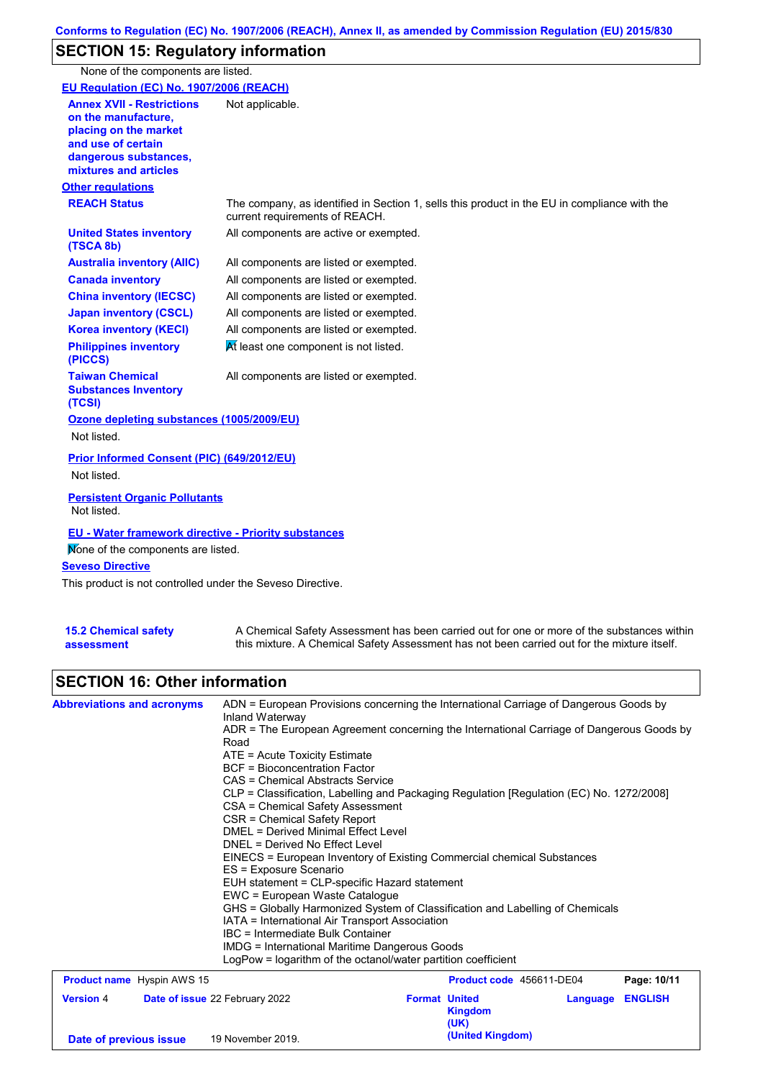# **SECTION 15: Regulatory information**

None of the components are listed.

| EU Regulation (EC) No. 1907/2006 (REACH)                                                                                                                 |                                                                                                                                                                                           |
|----------------------------------------------------------------------------------------------------------------------------------------------------------|-------------------------------------------------------------------------------------------------------------------------------------------------------------------------------------------|
| <b>Annex XVII - Restrictions</b><br>on the manufacture,<br>placing on the market<br>and use of certain<br>dangerous substances,<br>mixtures and articles | Not applicable.                                                                                                                                                                           |
| <b>Other regulations</b>                                                                                                                                 |                                                                                                                                                                                           |
| <b>REACH Status</b>                                                                                                                                      | The company, as identified in Section 1, sells this product in the EU in compliance with the<br>current requirements of REACH.                                                            |
| <b>United States inventory</b><br>(TSCA 8b)                                                                                                              | All components are active or exempted.                                                                                                                                                    |
| <b>Australia inventory (AIIC)</b>                                                                                                                        | All components are listed or exempted.                                                                                                                                                    |
| <b>Canada inventory</b>                                                                                                                                  | All components are listed or exempted.                                                                                                                                                    |
| <b>China inventory (IECSC)</b>                                                                                                                           | All components are listed or exempted.                                                                                                                                                    |
| <b>Japan inventory (CSCL)</b>                                                                                                                            | All components are listed or exempted.                                                                                                                                                    |
| <b>Korea inventory (KECI)</b>                                                                                                                            | All components are listed or exempted.                                                                                                                                                    |
| <b>Philippines inventory</b><br>(PICCS)                                                                                                                  | At least one component is not listed.                                                                                                                                                     |
| <b>Taiwan Chemical</b><br><b>Substances Inventory</b><br>(TCSI)                                                                                          | All components are listed or exempted.                                                                                                                                                    |
| Ozone depleting substances (1005/2009/EU)<br>Not listed.                                                                                                 |                                                                                                                                                                                           |
| Prior Informed Consent (PIC) (649/2012/EU)<br>Not listed.                                                                                                |                                                                                                                                                                                           |
| <b>Persistent Organic Pollutants</b><br>Not listed.                                                                                                      |                                                                                                                                                                                           |
| <b>EU - Water framework directive - Priority substances</b><br>Mone of the components are listed.                                                        |                                                                                                                                                                                           |
| <b>Seveso Directive</b>                                                                                                                                  |                                                                                                                                                                                           |
| This product is not controlled under the Seveso Directive.                                                                                               |                                                                                                                                                                                           |
| <b>15.2 Chemical safety</b><br>assessment                                                                                                                | A Chemical Safety Assessment has been carried out for one or more of the substances within<br>this mixture. A Chemical Safety Assessment has not been carried out for the mixture itself. |

# **SECTION 16: Other information**

| <b>Abbreviations and acronyms</b> | ADN = European Provisions concerning the International Carriage of Dangerous Goods by<br>Inland Waterway<br>ADR = The European Agreement concerning the International Carriage of Dangerous Goods by<br>Road<br>$ATE =$ Acute Toxicity Estimate<br><b>BCF</b> = Bioconcentration Factor<br>CAS = Chemical Abstracts Service<br>CLP = Classification, Labelling and Packaging Regulation [Regulation (EC) No. 1272/2008]<br>CSA = Chemical Safety Assessment<br>CSR = Chemical Safety Report<br><b>DMEL = Derived Minimal Effect Level</b><br>DNEL = Derived No Effect Level<br>EINECS = European Inventory of Existing Commercial chemical Substances<br>ES = Exposure Scenario<br>EUH statement = CLP-specific Hazard statement<br>EWC = European Waste Catalogue<br>GHS = Globally Harmonized System of Classification and Labelling of Chemicals<br>IATA = International Air Transport Association<br>IBC = Intermediate Bulk Container<br>IMDG = International Maritime Dangerous Goods<br>LogPow = logarithm of the octanol/water partition coefficient |                      |                          |          |                |
|-----------------------------------|--------------------------------------------------------------------------------------------------------------------------------------------------------------------------------------------------------------------------------------------------------------------------------------------------------------------------------------------------------------------------------------------------------------------------------------------------------------------------------------------------------------------------------------------------------------------------------------------------------------------------------------------------------------------------------------------------------------------------------------------------------------------------------------------------------------------------------------------------------------------------------------------------------------------------------------------------------------------------------------------------------------------------------------------------------------|----------------------|--------------------------|----------|----------------|
| <b>Product name</b> Hyspin AWS 15 |                                                                                                                                                                                                                                                                                                                                                                                                                                                                                                                                                                                                                                                                                                                                                                                                                                                                                                                                                                                                                                                              |                      | Product code 456611-DE04 |          | Page: 10/11    |
| <b>Version 4</b>                  | Date of issue 22 February 2022                                                                                                                                                                                                                                                                                                                                                                                                                                                                                                                                                                                                                                                                                                                                                                                                                                                                                                                                                                                                                               | <b>Format United</b> | <b>Kingdom</b><br>(UK)   | Language | <b>ENGLISH</b> |
| Date of previous issue            | 19 November 2019.                                                                                                                                                                                                                                                                                                                                                                                                                                                                                                                                                                                                                                                                                                                                                                                                                                                                                                                                                                                                                                            |                      | (United Kingdom)         |          |                |